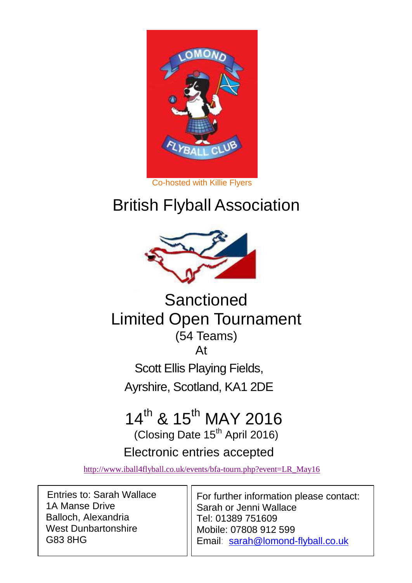

#### Co-hosted with Killie Flyers

# British Flyball Association



# **Sanctioned** Limited Open Tournament (54 Teams) At

Scott Ellis Playing Fields, Ayrshire, Scotland, KA1 2DE

# 14<sup>th</sup> & 15<sup>th</sup> MAY 2016

(Closing Date 15<sup>th</sup> April 2016)

### Electronic entries accepted

[http://www.iball4flyball.co.uk/events/bfa-tourn.php?event=LR\\_May16](http://www.iball4flyball.co.uk/events/bfa-tourn.php?event=LR_May16)

Entries to: Sarah Wallace 1A Manse Drive Balloch, Alexandria West Dunbartonshire G83 8HG

For further information please contact: Sarah or Jenni Wallace Tel: 01389 751609 Mobile: 07808 912 599 Email: [sarah@lomond-flyball.co.uk](mailto:sarah@lomond-flyball.co.uk)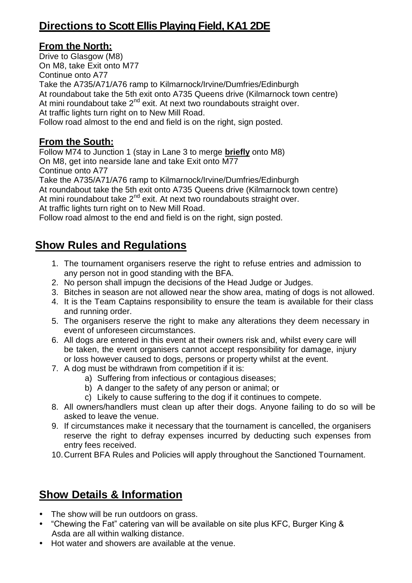### **Directions to Scott Ellis Playing Field, KA1 2DE**

#### **From the North:**

Drive to Glasgow (M8) On M8, take Exit onto M77 Continue onto A77 Take the A735/A71/A76 ramp to Kilmarnock/Irvine/Dumfries/Edinburgh At roundabout take the 5th exit onto A735 Queens drive (Kilmarnock town centre) At mini roundabout take  $2^{nd}$  exit. At next two roundabouts straight over. At traffic lights turn right on to New Mill Road. Follow road almost to the end and field is on the right, sign posted.

#### **From the South:**

Follow M74 to Junction 1 (stay in Lane 3 to merge **briefly** onto M8) On M8, get into nearside lane and take Exit onto M77 Continue onto A77 Take the A735/A71/A76 ramp to Kilmarnock/Irvine/Dumfries/Edinburgh At roundabout take the 5th exit onto A735 Queens drive (Kilmarnock town centre) At mini roundabout take  $2^{nd}$  exit. At next two roundabouts straight over.

At traffic lights turn right on to New Mill Road.

Follow road almost to the end and field is on the right, sign posted.

### **Show Rules and Regulations**

- 1. The tournament organisers reserve the right to refuse entries and admission to any person not in good standing with the BFA.
- 2. No person shall impugn the decisions of the Head Judge or Judges.
- 3. Bitches in season are not allowed near the show area, mating of dogs is not allowed.
- 4. It is the Team Captains responsibility to ensure the team is available for their class and running order.
- 5. The organisers reserve the right to make any alterations they deem necessary in event of unforeseen circumstances.
- 6. All dogs are entered in this event at their owners risk and, whilst every care will be taken, the event organisers cannot accept responsibility for damage, injury or loss however caused to dogs, persons or property whilst at the event.
- 7. A dog must be withdrawn from competition if it is:
	- a) Suffering from infectious or contagious diseases;
	- b) A danger to the safety of any person or animal; or
	- c) Likely to cause suffering to the dog if it continues to compete.
- 8. All owners/handlers must clean up after their dogs. Anyone failing to do so will be asked to leave the venue.
- 9. If circumstances make it necessary that the tournament is cancelled, the organisers reserve the right to defray expenses incurred by deducting such expenses from entry fees received.
- 10.Current BFA Rules and Policies will apply throughout the Sanctioned Tournament.

### **Show Details & Information**

- The show will be run outdoors on grass.
- "Chewing the Fat" catering van will be available on site plus KFC, Burger King & Asda are all within walking distance.
- Hot water and showers are available at the venue.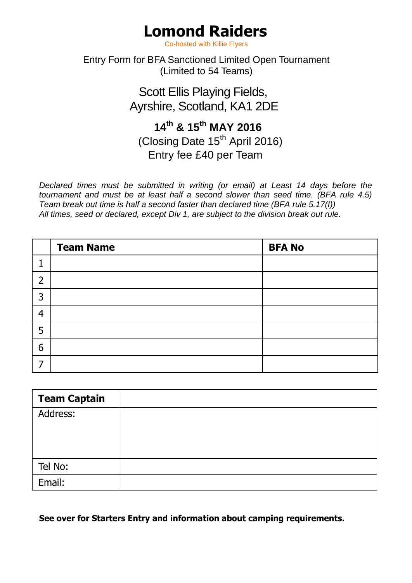# **Lomond Raiders**

Co-hosted with Killie Flyers

#### Entry Form for BFA Sanctioned Limited Open Tournament (Limited to 54 Teams)

Scott Ellis Playing Fields, Ayrshire, Scotland, KA1 2DE

### **14th & 15th MAY 2016** (Closing Date 15<sup>th</sup> April 2016)

Entry fee £40 per Team

*Declared times must be submitted in writing (or email) at Least 14 days before the tournament and must be at least half a second slower than seed time. (BFA rule 4.5) Team break out time is half a second faster than declared time (BFA rule 5.17(I)) All times, seed or declared, except Div 1, are subject to the division break out rule.*

|                | <b>Team Name</b> | <b>BFA No</b> |
|----------------|------------------|---------------|
|                |                  |               |
| $\overline{2}$ |                  |               |
| 3              |                  |               |
| 4              |                  |               |
| 5              |                  |               |
| 6              |                  |               |
|                |                  |               |

| <b>Team Captain</b> |  |
|---------------------|--|
| Address:            |  |
|                     |  |
|                     |  |
| Tel No:             |  |
| Email:              |  |

**See over for Starters Entry and information about camping requirements.**